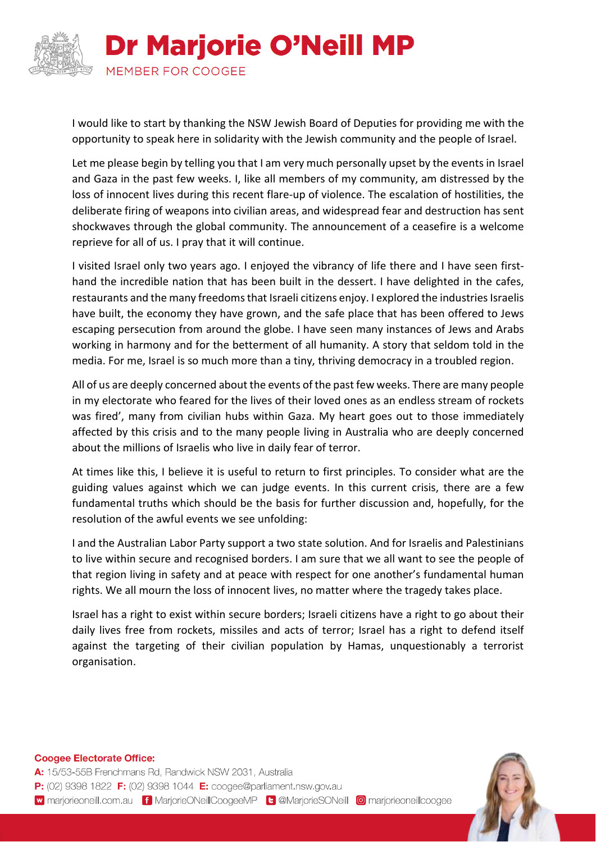

I would like to start by thanking the NSW Jewish Board of Deputies for providing me with the opportunity to speak here in solidarity with the Jewish community and the people of Israel.

Let me please begin by telling you that I am very much personally upset by the events in Israel and Gaza in the past few weeks. I, like all members of my community, am distressed by the loss of innocent lives during this recent flare-up of violence. The escalation of hostilities, the deliberate firing of weapons into civilian areas, and widespread fear and destruction has sent shockwaves through the global community. The announcement of a ceasefire is a welcome reprieve for all of us. I pray that it will continue.

I visited Israel only two years ago. I enjoyed the vibrancy of life there and I have seen firsthand the incredible nation that has been built in the dessert. I have delighted in the cafes, restaurants and the many freedoms that Israeli citizens enjoy. I explored the industries Israelis have built, the economy they have grown, and the safe place that has been offered to Jews escaping persecution from around the globe. I have seen many instances of Jews and Arabs working in harmony and for the betterment of all humanity. A story that seldom told in the media. For me, Israel is so much more than a tiny, thriving democracy in a troubled region.

All of us are deeply concerned about the events of the past few weeks. There are many people in my electorate who feared for the lives of their loved ones as an endless stream of rockets was fired', many from civilian hubs within Gaza. My heart goes out to those immediately affected by this crisis and to the many people living in Australia who are deeply concerned about the millions of Israelis who live in daily fear of terror.

At times like this, I believe it is useful to return to first principles. To consider what are the guiding values against which we can judge events. In this current crisis, there are a few fundamental truths which should be the basis for further discussion and, hopefully, for the resolution of the awful events we see unfolding:

I and the Australian Labor Party support a two state solution. And for Israelis and Palestinians to live within secure and recognised borders. I am sure that we all want to see the people of that region living in safety and at peace with respect for one another's fundamental human rights. We all mourn the loss of innocent lives, no matter where the tragedy takes place.

Israel has a right to exist within secure borders; Israeli citizens have a right to go about their daily lives free from rockets, missiles and acts of terror; Israel has a right to defend itself against the targeting of their civilian population by Hamas, unquestionably a terrorist organisation.

**Coogee Electorate Office:** 

A: 15/53-55B Frenchmans Rd, Randwick NSW 2031, Australia P: (02) 9398 1822 F: (02) 9398 1044 E: coogee@parliament.nsw.gov.au w marjorieoneill.com.au f MarjorieONeillCoogeeMP t @MarjorieSONeill @ marjorieoneillcoogee